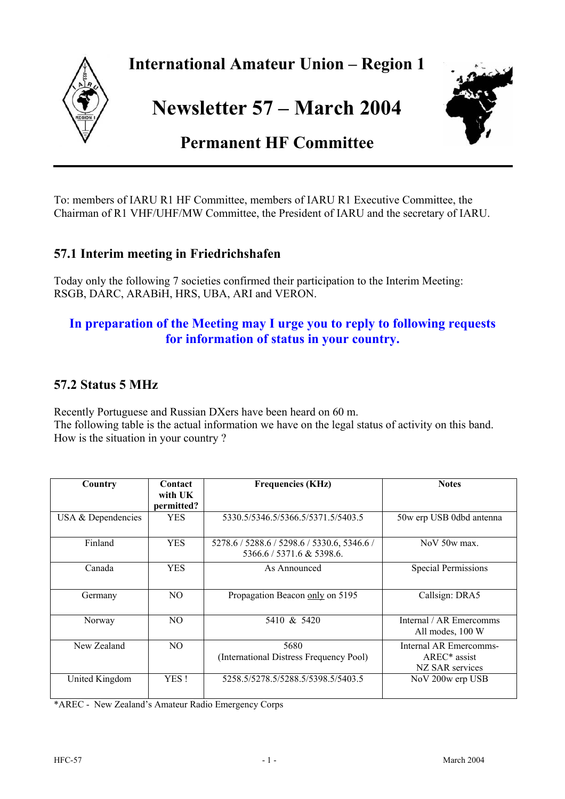

**International Amateur Union – Region 1** 

**Newsletter 57 – March 2004** 



# **Permanent HF Committee**

To: members of IARU R1 HF Committee, members of IARU R1 Executive Committee, the Chairman of R1 VHF/UHF/MW Committee, the President of IARU and the secretary of IARU.

#### **57.1 Interim meeting in Friedrichshafen**

Today only the following 7 societies confirmed their participation to the Interim Meeting: RSGB, DARC, ARABiH, HRS, UBA, ARI and VERON.

### **In preparation of the Meeting may I urge you to reply to following requests for information of status in your country.**

### **57.2 Status 5 MHz**

Recently Portuguese and Russian DXers have been heard on 60 m. The following table is the actual information we have on the legal status of activity on this band. How is the situation in your country ?

| Country            | Contact<br>with UK<br>permitted? | <b>Frequencies (KHz)</b>                                                 | <b>Notes</b>                                                |
|--------------------|----------------------------------|--------------------------------------------------------------------------|-------------------------------------------------------------|
| USA & Dependencies | <b>YES</b>                       | 5330.5/5346.5/5366.5/5371.5/5403.5                                       | 50w erp USB 0dbd antenna                                    |
| Finland            | <b>YES</b>                       | 5278.6 / 5288.6 / 5298.6 / 5330.6, 5346.6 /<br>5366.6 / 5371.6 & 5398.6. | $NoV$ 50 $w$ max.                                           |
| Canada             | <b>YES</b>                       | As Announced                                                             | <b>Special Permissions</b>                                  |
| Germany            | NO.                              | Propagation Beacon only on 5195                                          | Callsign: DRA5                                              |
| Norway             | NO.                              | 5410 & 5420                                                              | Internal / AR Emercomms<br>All modes, 100 W                 |
| New Zealand        | NO.                              | 5680<br>(International Distress Frequency Pool)                          | Internal AR Emercomms-<br>$AREC*$ assist<br>NZ SAR services |
| United Kingdom     | YES!                             | 5258.5/5278.5/5288.5/5398.5/5403.5                                       | NoV 200w erp USB                                            |

\*AREC - New Zealand's Amateur Radio Emergency Corps